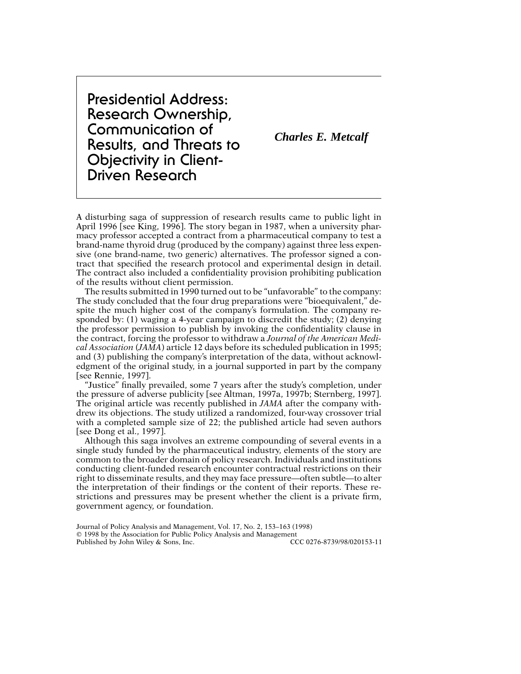**Presidential Address: Research Ownership, Communication of Results, and Threats to Objectivity in Client-Driven Research**

*Charles E. Metcalf*

A disturbing saga of suppression of research results came to public light in April 1996 [see King, 1996]. The story began in 1987, when a university pharmacy professor accepted a contract from a pharmaceutical company to test a brand-name thyroid drug (produced by the company) against three less expensive (one brand-name, two generic) alternatives. The professor signed a contract that specified the research protocol and experimental design in detail. The contract also included a confidentiality provision prohibiting publication of the results without client permission.

The results submitted in 1990 turned out to be "unfavorable" to the company: The study concluded that the four drug preparations were "bioequivalent," despite the much higher cost of the company's formulation. The company responded by: (1) waging a 4-year campaign to discredit the study; (2) denying the professor permission to publish by invoking the confidentiality clause in the contract, forcing the professor to withdraw a *Journal of the American Medical Association* (*JAMA*) article 12 days before its scheduled publication in 1995; and (3) publishing the company's interpretation of the data, without acknowledgment of the original study, in a journal supported in part by the company [see Rennie, 1997].

"Justice" finally prevailed, some 7 years after the study's completion, under the pressure of adverse publicity [see Altman, 1997a, 1997b; Sternberg, 1997]. The original article was recently published in *JAMA* after the company withdrew its objections. The study utilized a randomized, four-way crossover trial with a completed sample size of 22; the published article had seven authors [see Dong et al., 1997].

Although this saga involves an extreme compounding of several events in a single study funded by the pharmaceutical industry, elements of the story are common to the broader domain of policy research. Individuals and institutions conducting client-funded research encounter contractual restrictions on their right to disseminate results, and they may face pressure—often subtle—to alter the interpretation of their findings or the content of their reports. These restrictions and pressures may be present whether the client is a private firm, government agency, or foundation.

Journal of Policy Analysis and Management, Vol. 17, No. 2, 153–163 (1998) q 1998 by the Association for Public Policy Analysis and Management Published by John Wiley & Sons, Inc.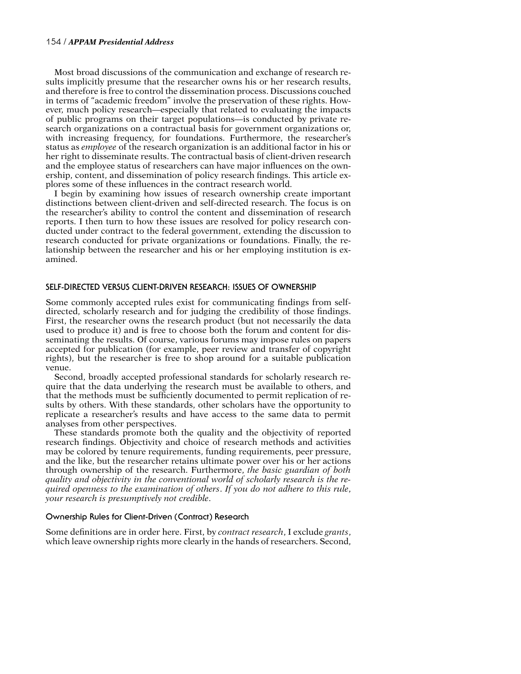Most broad discussions of the communication and exchange of research results implicitly presume that the researcher owns his or her research results, and therefore is free to control the dissemination process. Discussions couched in terms of "academic freedom" involve the preservation of these rights. However, much policy research—especially that related to evaluating the impacts of public programs on their target populations—is conducted by private research organizations on a contractual basis for government organizations or, with increasing frequency, for foundations. Furthermore, the researcher's status as *employee* of the research organization is an additional factor in his or her right to disseminate results. The contractual basis of client-driven research and the employee status of researchers can have major influences on the ownership, content, and dissemination of policy research findings. This article explores some of these influences in the contract research world.

I begin by examining how issues of research ownership create important distinctions between client-driven and self-directed research. The focus is on the researcher's ability to control the content and dissemination of research reports. I then turn to how these issues are resolved for policy research conducted under contract to the federal government, extending the discussion to research conducted for private organizations or foundations. Finally, the relationship between the researcher and his or her employing institution is examined.

# **SELF-DIRECTED VERSUS CLIENT-DRIVEN RESEARCH: ISSUES OF OWNERSHIP**

Some commonly accepted rules exist for communicating findings from selfdirected, scholarly research and for judging the credibility of those findings. First, the researcher owns the research product (but not necessarily the data used to produce it) and is free to choose both the forum and content for disseminating the results. Of course, various forums may impose rules on papers accepted for publication (for example, peer review and transfer of copyright rights), but the researcher is free to shop around for a suitable publication venue.

Second, broadly accepted professional standards for scholarly research require that the data underlying the research must be available to others, and that the methods must be sufficiently documented to permit replication of results by others. With these standards, other scholars have the opportunity to replicate a researcher's results and have access to the same data to permit analyses from other perspectives.

These standards promote both the quality and the objectivity of reported research findings. Objectivity and choice of research methods and activities may be colored by tenure requirements, funding requirements, peer pressure, and the like, but the researcher retains ultimate power over his or her actions through ownership of the research. Furthermore, *the basic guardian of both quality and objectivity in the conventional world of scholarly research is the required openness to the examination of others*. *If you do not adhere to this rule*, *your research is presumptively not credible*.

#### **Ownership Rules for Client-Driven (Contract) Research**

Some definitions are in order here. First, by *contract research*, I exclude *grants*, which leave ownership rights more clearly in the hands of researchers. Second,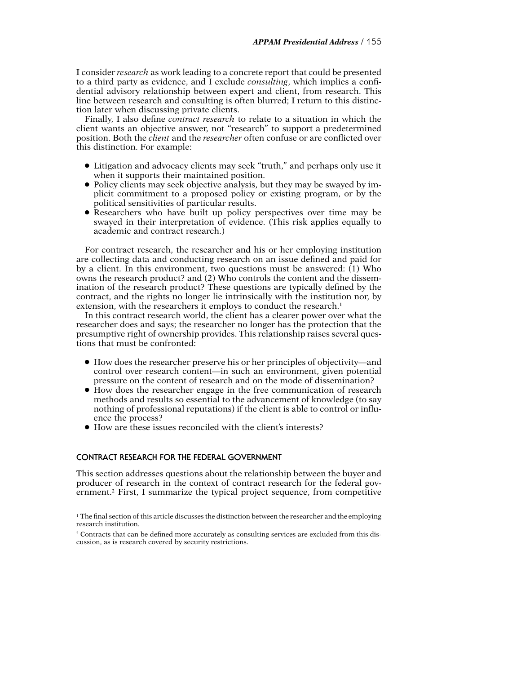I consider *research* as work leading to a concrete report that could be presented to a third party as evidence, and I exclude *consulting*, which implies a confidential advisory relationship between expert and client, from research. This line between research and consulting is often blurred; I return to this distinction later when discussing private clients.

Finally, I also define *contract research* to relate to a situation in which the client wants an objective answer, not "research" to support a predetermined position. Both the *client* and the *researcher* often confuse or are conflicted over this distinction. For example:

- Litigation and advocacy clients may seek "truth," and perhaps only use it when it supports their maintained position.
- Policy clients may seek objective analysis, but they may be swayed by implicit commitment to a proposed policy or existing program, or by the political sensitivities of particular results.
- Researchers who have built up policy perspectives over time may be swayed in their interpretation of evidence. (This risk applies equally to academic and contract research.)

For contract research, the researcher and his or her employing institution are collecting data and conducting research on an issue defined and paid for by a client. In this environment, two questions must be answered: (1) Who owns the research product? and (2) Who controls the content and the dissemination of the research product? These questions are typically defined by the contract, and the rights no longer lie intrinsically with the institution nor, by extension, with the researchers it employs to conduct the research.<sup>1</sup>

In this contract research world, the client has a clearer power over what the researcher does and says; the researcher no longer has the protection that the presumptive right of ownership provides. This relationship raises several questions that must be confronted:

- How does the researcher preserve his or her principles of objectivity—and control over research content—in such an environment, given potential pressure on the content of research and on the mode of dissemination?
- How does the researcher engage in the free communication of research methods and results so essential to the advancement of knowledge (to say nothing of professional reputations) if the client is able to control or influence the process?
- How are these issues reconciled with the client's interests?

# **CONTRACT RESEARCH FOR THE FEDERAL GOVERNMENT**

This section addresses questions about the relationship between the buyer and producer of research in the context of contract research for the federal government.2 First, I summarize the typical project sequence, from competitive

<sup>&</sup>lt;sup>1</sup> The final section of this article discusses the distinction between the researcher and the employing research institution.

<sup>&</sup>lt;sup>2</sup> Contracts that can be defined more accurately as consulting services are excluded from this discussion, as is research covered by security restrictions.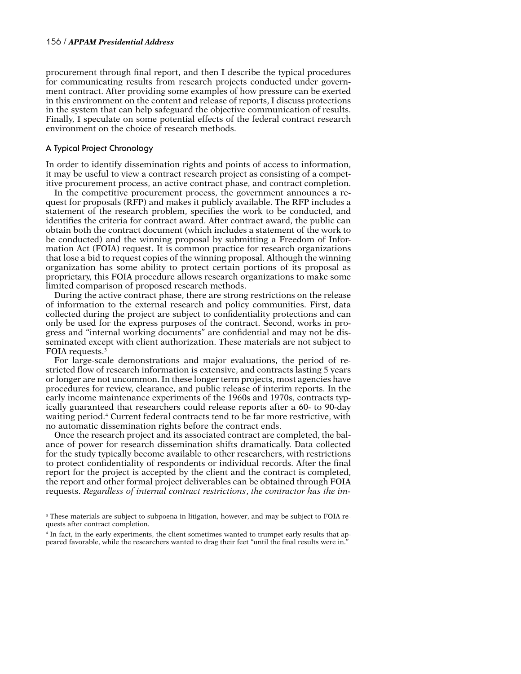procurement through final report, and then I describe the typical procedures for communicating results from research projects conducted under government contract. After providing some examples of how pressure can be exerted in this environment on the content and release of reports, I discuss protections in the system that can help safeguard the objective communication of results. Finally, I speculate on some potential effects of the federal contract research environment on the choice of research methods.

### **A Typical Project Chronology**

In order to identify dissemination rights and points of access to information, it may be useful to view a contract research project as consisting of a competitive procurement process, an active contract phase, and contract completion.

In the competitive procurement process, the government announces a request for proposals (RFP) and makes it publicly available. The RFP includes a statement of the research problem, specifies the work to be conducted, and identifies the criteria for contract award. After contract award, the public can obtain both the contract document (which includes a statement of the work to be conducted) and the winning proposal by submitting a Freedom of Information Act (FOIA) request. It is common practice for research organizations that lose a bid to request copies of the winning proposal. Although the winning organization has some ability to protect certain portions of its proposal as proprietary, this FOIA procedure allows research organizations to make some limited comparison of proposed research methods.

During the active contract phase, there are strong restrictions on the release of information to the external research and policy communities. First, data collected during the project are subject to confidentiality protections and can only be used for the express purposes of the contract. Second, works in progress and "internal working documents" are confidential and may not be disseminated except with client authorization. These materials are not subject to FOIA requests.3

For large-scale demonstrations and major evaluations, the period of restricted flow of research information is extensive, and contracts lasting 5 years or longer are not uncommon. In these longer term projects, most agencies have procedures for review, clearance, and public release of interim reports. In the early income maintenance experiments of the 1960s and 1970s, contracts typically guaranteed that researchers could release reports after a 60- to 90-day waiting period.<sup>4</sup> Current federal contracts tend to be far more restrictive, with no automatic dissemination rights before the contract ends.

Once the research project and its associated contract are completed, the balance of power for research dissemination shifts dramatically. Data collected for the study typically become available to other researchers, with restrictions to protect confidentiality of respondents or individual records. After the final report for the project is accepted by the client and the contract is completed, the report and other formal project deliverables can be obtained through FOIA requests. *Regardless of internal contract restrictions*, *the contractor has the im-*

<sup>&</sup>lt;sup>3</sup> These materials are subject to subpoena in litigation, however, and may be subject to FOIA requests after contract completion.

<sup>4</sup> In fact, in the early experiments, the client sometimes wanted to trumpet early results that appeared favorable, while the researchers wanted to drag their feet "until the final results were in."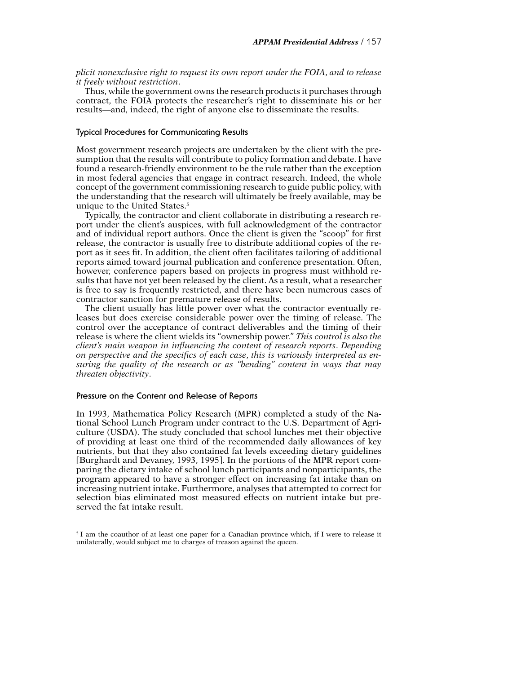*plicit nonexclusive right to request its own report under the FOIA*, *and to release it freely without restriction*.

Thus, while the government owns the research products it purchases through contract, the FOIA protects the researcher's right to disseminate his or her results—and, indeed, the right of anyone else to disseminate the results.

### **Typical Procedures for Communicating Results**

Most government research projects are undertaken by the client with the presumption that the results will contribute to policy formation and debate. I have found a research-friendly environment to be the rule rather than the exception in most federal agencies that engage in contract research. Indeed, the whole concept of the government commissioning research to guide public policy, with the understanding that the research will ultimately be freely available, may be unique to the United States.5

Typically, the contractor and client collaborate in distributing a research report under the client's auspices, with full acknowledgment of the contractor and of individual report authors. Once the client is given the "scoop" for first release, the contractor is usually free to distribute additional copies of the report as it sees fit. In addition, the client often facilitates tailoring of additional reports aimed toward journal publication and conference presentation. Often, however, conference papers based on projects in progress must withhold results that have not yet been released by the client. As a result, what a researcher is free to say is frequently restricted, and there have been numerous cases of contractor sanction for premature release of results.

The client usually has little power over what the contractor eventually releases but does exercise considerable power over the timing of release. The control over the acceptance of contract deliverables and the timing of their release is where the client wields its "ownership power." *This control is also the client's main weapon in influencing the content of research reports*. *Depending on perspective and the specifics of each case*, *this is variously interpreted as ensuring the quality of the research or as "bending" content in ways that may threaten objectivity*.

### **Pressure on the Content and Release of Reports**

In 1993, Mathematica Policy Research (MPR) completed a study of the National School Lunch Program under contract to the U.S. Department of Agriculture (USDA). The study concluded that school lunches met their objective of providing at least one third of the recommended daily allowances of key nutrients, but that they also contained fat levels exceeding dietary guidelines [Burghardt and Devaney, 1993, 1995]. In the portions of the MPR report comparing the dietary intake of school lunch participants and nonparticipants, the program appeared to have a stronger effect on increasing fat intake than on increasing nutrient intake. Furthermore, analyses that attempted to correct for selection bias eliminated most measured effects on nutrient intake but preserved the fat intake result.

<sup>5</sup> I am the coauthor of at least one paper for a Canadian province which, if I were to release it unilaterally, would subject me to charges of treason against the queen.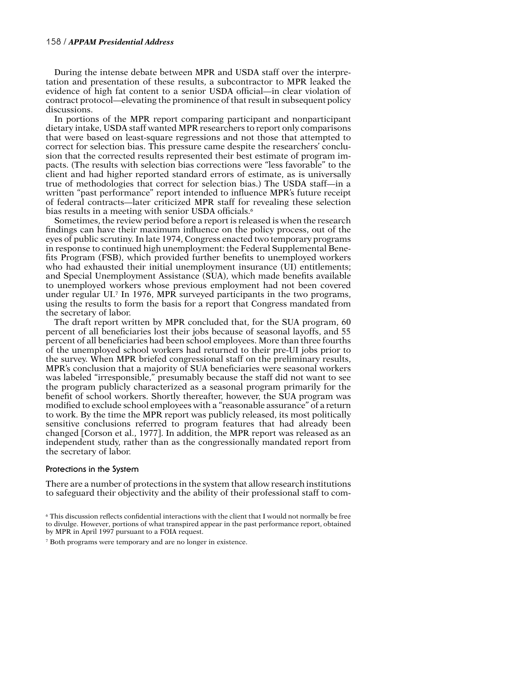During the intense debate between MPR and USDA staff over the interpretation and presentation of these results, a subcontractor to MPR leaked the evidence of high fat content to a senior USDA official—in clear violation of contract protocol—elevating the prominence of that result in subsequent policy discussions.

In portions of the MPR report comparing participant and nonparticipant dietary intake, USDA staff wanted MPR researchers to report only comparisons that were based on least-square regressions and not those that attempted to correct for selection bias. This pressure came despite the researchers' conclusion that the corrected results represented their best estimate of program impacts. (The results with selection bias corrections were "less favorable" to the client and had higher reported standard errors of estimate, as is universally true of methodologies that correct for selection bias.) The USDA staff—in a written "past performance" report intended to influence MPR's future receipt of federal contracts—later criticized MPR staff for revealing these selection bias results in a meeting with senior USDA officials.<sup>6</sup>

Sometimes, the review period before a report is released is when the research findings can have their maximum influence on the policy process, out of the eyes of public scrutiny. In late 1974, Congress enacted two temporary programs in response to continued high unemployment: the Federal Supplemental Benefits Program (FSB), which provided further benefits to unemployed workers who had exhausted their initial unemployment insurance (UI) entitlements; and Special Unemployment Assistance (SUA), which made benefits available to unemployed workers whose previous employment had not been covered under regular UI.7 In 1976, MPR surveyed participants in the two programs, using the results to form the basis for a report that Congress mandated from the secretary of labor.

The draft report written by MPR concluded that, for the SUA program, 60 percent of all beneficiaries lost their jobs because of seasonal layoffs, and 55 percent of all beneficiaries had been school employees. More than three fourths of the unemployed school workers had returned to their pre-UI jobs prior to the survey. When MPR briefed congressional staff on the preliminary results, MPR's conclusion that a majority of SUA beneficiaries were seasonal workers was labeled "irresponsible," presumably because the staff did not want to see the program publicly characterized as a seasonal program primarily for the benefit of school workers. Shortly thereafter, however, the SUA program was modified to exclude school employees with a "reasonable assurance" of a return to work. By the time the MPR report was publicly released, its most politically sensitive conclusions referred to program features that had already been changed [Corson et al., 1977]. In addition, the MPR report was released as an independent study, rather than as the congressionally mandated report from the secretary of labor.

#### **Protections in the System**

There are a number of protections in the system that allow research institutions to safeguard their objectivity and the ability of their professional staff to com-

<sup>6</sup> This discussion reflects confidential interactions with the client that I would not normally be free to divulge. However, portions of what transpired appear in the past performance report, obtained by MPR in April 1997 pursuant to a FOIA request.

<sup>7</sup> Both programs were temporary and are no longer in existence.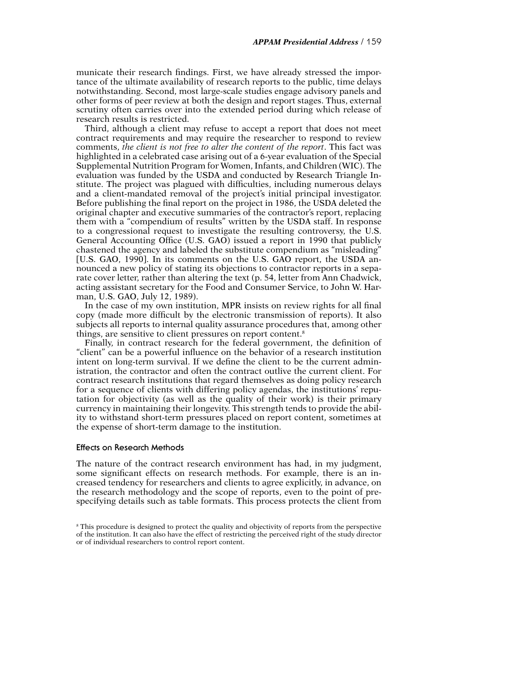municate their research findings. First, we have already stressed the importance of the ultimate availability of research reports to the public, time delays notwithstanding. Second, most large-scale studies engage advisory panels and other forms of peer review at both the design and report stages. Thus, external scrutiny often carries over into the extended period during which release of research results is restricted.

Third, although a client may refuse to accept a report that does not meet contract requirements and may require the researcher to respond to review comments, *the client is not free to alter the content of the report*. This fact was highlighted in a celebrated case arising out of a 6-year evaluation of the Special Supplemental Nutrition Program for Women, Infants, and Children (WIC). The evaluation was funded by the USDA and conducted by Research Triangle Institute. The project was plagued with difficulties, including numerous delays and a client-mandated removal of the project's initial principal investigator. Before publishing the final report on the project in 1986, the USDA deleted the original chapter and executive summaries of the contractor's report, replacing them with a "compendium of results" written by the USDA staff. In response to a congressional request to investigate the resulting controversy, the U.S. General Accounting Office (U.S. GAO) issued a report in 1990 that publicly chastened the agency and labeled the substitute compendium as "misleading" [U.S. GAO, 1990]. In its comments on the U.S. GAO report, the USDA announced a new policy of stating its objections to contractor reports in a separate cover letter, rather than altering the text (p. 54, letter from Ann Chadwick, acting assistant secretary for the Food and Consumer Service, to John W. Harman, U.S. GAO, July 12, 1989).

In the case of my own institution, MPR insists on review rights for all final copy (made more difficult by the electronic transmission of reports). It also subjects all reports to internal quality assurance procedures that, among other things, are sensitive to client pressures on report content.8

Finally, in contract research for the federal government, the definition of "client" can be a powerful influence on the behavior of a research institution intent on long-term survival. If we define the client to be the current administration, the contractor and often the contract outlive the current client. For contract research institutions that regard themselves as doing policy research for a sequence of clients with differing policy agendas, the institutions' reputation for objectivity (as well as the quality of their work) is their primary currency in maintaining their longevity. This strength tends to provide the ability to withstand short-term pressures placed on report content, sometimes at the expense of short-term damage to the institution.

#### **Effects on Research Methods**

The nature of the contract research environment has had, in my judgment, some significant effects on research methods. For example, there is an increased tendency for researchers and clients to agree explicitly, in advance, on the research methodology and the scope of reports, even to the point of prespecifying details such as table formats. This process protects the client from

<sup>8</sup> This procedure is designed to protect the quality and objectivity of reports from the perspective of the institution. It can also have the effect of restricting the perceived right of the study director or of individual researchers to control report content.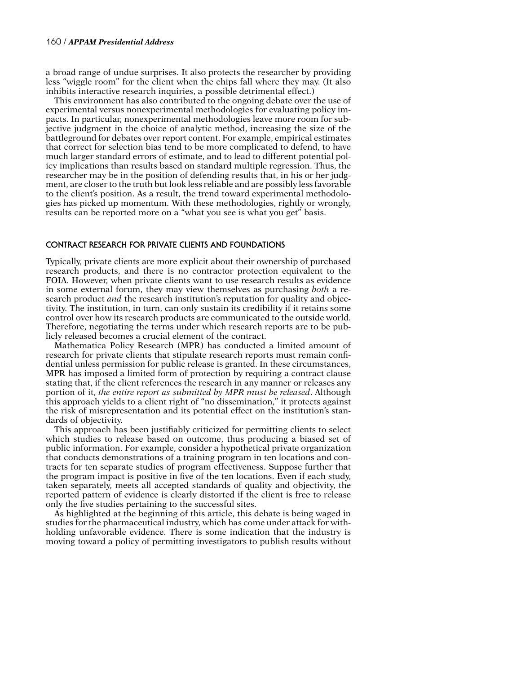a broad range of undue surprises. It also protects the researcher by providing less "wiggle room" for the client when the chips fall where they may. (It also inhibits interactive research inquiries, a possible detrimental effect.)

This environment has also contributed to the ongoing debate over the use of experimental versus nonexperimental methodologies for evaluating policy impacts. In particular, nonexperimental methodologies leave more room for subjective judgment in the choice of analytic method, increasing the size of the battleground for debates over report content. For example, empirical estimates that correct for selection bias tend to be more complicated to defend, to have much larger standard errors of estimate, and to lead to different potential policy implications than results based on standard multiple regression. Thus, the researcher may be in the position of defending results that, in his or her judgment, are closer to the truth but look less reliable and are possibly less favorable to the client's position. As a result, the trend toward experimental methodologies has picked up momentum. With these methodologies, rightly or wrongly, results can be reported more on a "what you see is what you get" basis.

### **CONTRACT RESEARCH FOR PRIVATE CLIENTS AND FOUNDATIONS**

Typically, private clients are more explicit about their ownership of purchased research products, and there is no contractor protection equivalent to the FOIA. However, when private clients want to use research results as evidence in some external forum, they may view themselves as purchasing *both* a research product *and* the research institution's reputation for quality and objectivity. The institution, in turn, can only sustain its credibility if it retains some control over how its research products are communicated to the outside world. Therefore, negotiating the terms under which research reports are to be publicly released becomes a crucial element of the contract.

Mathematica Policy Research (MPR) has conducted a limited amount of research for private clients that stipulate research reports must remain confidential unless permission for public release is granted. In these circumstances, MPR has imposed a limited form of protection by requiring a contract clause stating that, if the client references the research in any manner or releases any portion of it, *the entire report as submitted by MPR must be released*. Although this approach yields to a client right of "no dissemination," it protects against the risk of misrepresentation and its potential effect on the institution's standards of objectivity.

This approach has been justifiably criticized for permitting clients to select which studies to release based on outcome, thus producing a biased set of public information. For example, consider a hypothetical private organization that conducts demonstrations of a training program in ten locations and contracts for ten separate studies of program effectiveness. Suppose further that the program impact is positive in five of the ten locations. Even if each study, taken separately, meets all accepted standards of quality and objectivity, the reported pattern of evidence is clearly distorted if the client is free to release only the five studies pertaining to the successful sites.

As highlighted at the beginning of this article, this debate is being waged in studies for the pharmaceutical industry, which has come under attack for withholding unfavorable evidence. There is some indication that the industry is moving toward a policy of permitting investigators to publish results without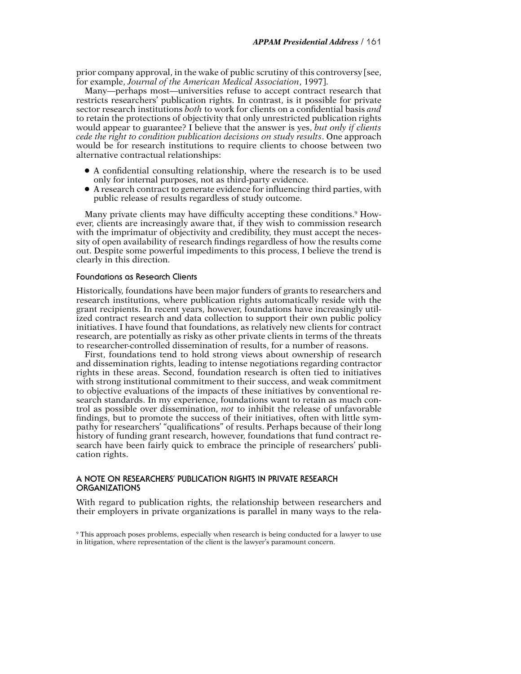prior company approval, in the wake of public scrutiny of this controversy [see, for example, *Journal of the American Medical Association*, 1997].

Many—perhaps most—universities refuse to accept contract research that restricts researchers' publication rights. In contrast, is it possible for private sector research institutions *both* to work for clients on a confidential basis *and* to retain the protections of objectivity that only unrestricted publication rights would appear to guarantee? I believe that the answer is yes, *but only if clients cede the right to condition publication decisions on study results*. One approach would be for research institutions to require clients to choose between two alternative contractual relationships:

- A confidential consulting relationship, where the research is to be used only for internal purposes, not as third-party evidence.
- A research contract to generate evidence for influencing third parties, with public release of results regardless of study outcome.

Many private clients may have difficulty accepting these conditions.9 However, clients are increasingly aware that, if they wish to commission research with the imprimatur of objectivity and credibility, they must accept the necessity of open availability of research findings regardless of how the results come out. Despite some powerful impediments to this process, I believe the trend is clearly in this direction.

# **Foundations as Research Clients**

Historically, foundations have been major funders of grants to researchers and research institutions, where publication rights automatically reside with the grant recipients. In recent years, however, foundations have increasingly utilized contract research and data collection to support their own public policy initiatives. I have found that foundations, as relatively new clients for contract research, are potentially as risky as other private clients in terms of the threats to researcher-controlled dissemination of results, for a number of reasons.

First, foundations tend to hold strong views about ownership of research and dissemination rights, leading to intense negotiations regarding contractor rights in these areas. Second, foundation research is often tied to initiatives with strong institutional commitment to their success, and weak commitment to objective evaluations of the impacts of these initiatives by conventional research standards. In my experience, foundations want to retain as much control as possible over dissemination, *not* to inhibit the release of unfavorable findings, but to promote the success of their initiatives, often with little sympathy for researchers' "qualifications" of results. Perhaps because of their long history of funding grant research, however, foundations that fund contract research have been fairly quick to embrace the principle of researchers' publication rights.

# **A NOTE ON RESEARCHERS' PUBLICATION RIGHTS IN PRIVATE RESEARCH ORGANIZATIONS**

With regard to publication rights, the relationship between researchers and their employers in private organizations is parallel in many ways to the rela-

<sup>9</sup> This approach poses problems, especially when research is being conducted for a lawyer to use in litigation, where representation of the client is the lawyer's paramount concern.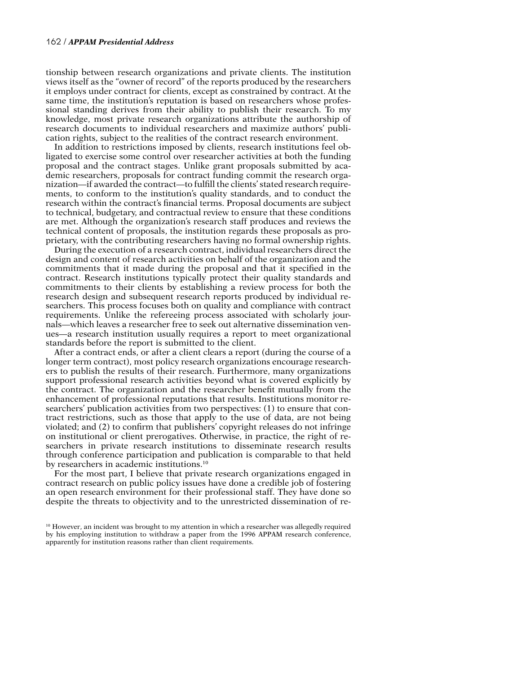tionship between research organizations and private clients. The institution views itself as the "owner of record" of the reports produced by the researchers it employs under contract for clients, except as constrained by contract. At the same time, the institution's reputation is based on researchers whose professional standing derives from their ability to publish their research. To my knowledge, most private research organizations attribute the authorship of research documents to individual researchers and maximize authors' publication rights, subject to the realities of the contract research environment.

In addition to restrictions imposed by clients, research institutions feel obligated to exercise some control over researcher activities at both the funding proposal and the contract stages. Unlike grant proposals submitted by academic researchers, proposals for contract funding commit the research organization—if awarded the contract—to fulfill the clients' stated research requirements, to conform to the institution's quality standards, and to conduct the research within the contract's financial terms. Proposal documents are subject to technical, budgetary, and contractual review to ensure that these conditions are met. Although the organization's research staff produces and reviews the technical content of proposals, the institution regards these proposals as proprietary, with the contributing researchers having no formal ownership rights.

During the execution of a research contract, individual researchers direct the design and content of research activities on behalf of the organization and the commitments that it made during the proposal and that it specified in the contract. Research institutions typically protect their quality standards and commitments to their clients by establishing a review process for both the research design and subsequent research reports produced by individual researchers. This process focuses both on quality and compliance with contract requirements. Unlike the refereeing process associated with scholarly journals—which leaves a researcher free to seek out alternative dissemination venues—a research institution usually requires a report to meet organizational standards before the report is submitted to the client.

After a contract ends, or after a client clears a report (during the course of a longer term contract), most policy research organizations encourage researchers to publish the results of their research. Furthermore, many organizations support professional research activities beyond what is covered explicitly by the contract. The organization and the researcher benefit mutually from the enhancement of professional reputations that results. Institutions monitor researchers' publication activities from two perspectives: (1) to ensure that contract restrictions, such as those that apply to the use of data, are not being violated; and (2) to confirm that publishers' copyright releases do not infringe on institutional or client prerogatives. Otherwise, in practice, the right of researchers in private research institutions to disseminate research results through conference participation and publication is comparable to that held by researchers in academic institutions.10

For the most part, I believe that private research organizations engaged in contract research on public policy issues have done a credible job of fostering an open research environment for their professional staff. They have done so despite the threats to objectivity and to the unrestricted dissemination of re-

<sup>&</sup>lt;sup>10</sup> However, an incident was brought to my attention in which a researcher was allegedly required by his employing institution to withdraw a paper from the 1996 APPAM research conference, apparently for institution reasons rather than client requirements.